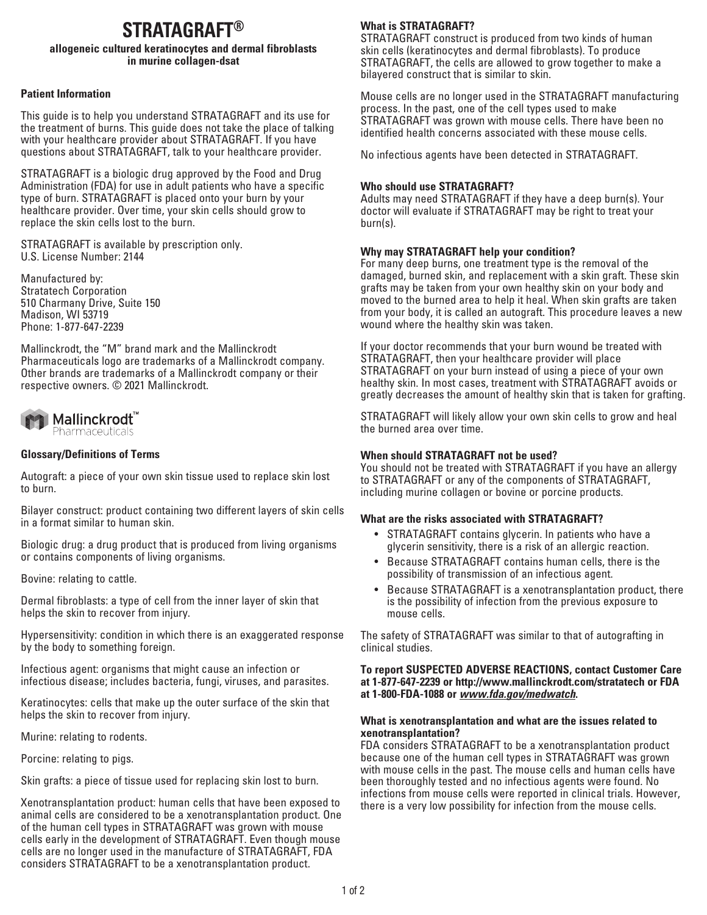# **STRATAGRAFT®**

#### **allogeneic cultured keratinocytes and dermal fibroblasts in murine collagen-dsat**

# **Patient Information**

This guide is to help you understand STRATAGRAFT and its use for the treatment of burns. This guide does not take the place of talking with your healthcare provider about STRATAGRAFT. If you have questions about STRATAGRAFT, talk to your healthcare provider.

STRATAGRAFT is a biologic drug approved by the Food and Drug Administration (FDA) for use in adult patients who have a specific type of burn. STRATAGRAFT is placed onto your burn by your healthcare provider. Over time, your skin cells should grow to replace the skin cells lost to the burn.

STRATAGRAFT is available by prescription only. U.S. License Number: 2144

Manufactured by: Stratatech Corporation 510 Charmany Drive, Suite 150 Madison, WI 53719 Phone: 1-877-647-2239

Mallinckrodt, the "M" brand mark and the Mallinckrodt Pharmaceuticals logo are trademarks of a Mallinckrodt company. Other brands are trademarks of a Mallinckrodt company or their respective owners. © 2021 Mallinckrodt.



# **Glossary/Definitions of Terms**

Autograft: a piece of your own skin tissue used to replace skin lost to burn.

Bilayer construct: product containing two different layers of skin cells in a format similar to human skin.

Biologic drug: a drug product that is produced from living organisms or contains components of living organisms.

Bovine: relating to cattle.

Dermal fibroblasts: a type of cell from the inner layer of skin that helps the skin to recover from injury.

Hypersensitivity: condition in which there is an exaggerated response by the body to something foreign.

Infectious agent: organisms that might cause an infection or infectious disease; includes bacteria, fungi, viruses, and parasites.

Keratinocytes: cells that make up the outer surface of the skin that helps the skin to recover from injury.

Murine: relating to rodents.

Porcine: relating to pigs.

Skin grafts: a piece of tissue used for replacing skin lost to burn.

Xenotransplantation product: human cells that have been exposed to animal cells are considered to be a xenotransplantation product. One of the human cell types in STRATAGRAFT was grown with mouse cells early in the development of STRATAGRAFT. Even though mouse cells are no longer used in the manufacture of STRATAGRAFT, FDA considers STRATAGRAFT to be a xenotransplantation product.

# **What is STRATAGRAFT?**

STRATAGRAFT construct is produced from two kinds of human skin cells (keratinocytes and dermal fibroblasts). To produce STRATAGRAFT, the cells are allowed to grow together to make a bilayered construct that is similar to skin.

Mouse cells are no longer used in the STRATAGRAFT manufacturing process. In the past, one of the cell types used to make STRATAGRAFT was grown with mouse cells. There have been no identified health concerns associated with these mouse cells.

No infectious agents have been detected in STRATAGRAFT.

## **Who should use STRATAGRAFT?**

Adults may need STRATAGRAFT if they have a deep burn(s). Your doctor will evaluate if STRATAGRAFT may be right to treat your burn(s).

# **Why may STRATAGRAFT help your condition?**

For many deep burns, one treatment type is the removal of the damaged, burned skin, and replacement with a skin graft. These skin grafts may be taken from your own healthy skin on your body and moved to the burned area to help it heal. When skin grafts are taken from your body, it is called an autograft. This procedure leaves a new wound where the healthy skin was taken.

If your doctor recommends that your burn wound be treated with STRATAGRAFT, then your healthcare provider will place STRATAGRAFT on your burn instead of using a piece of your own healthy skin. In most cases, treatment with STRATAGRAFT avoids or greatly decreases the amount of healthy skin that is taken for grafting.

STRATAGRAFT will likely allow your own skin cells to grow and heal the burned area over time.

### **When should STRATAGRAFT not be used?**

You should not be treated with STRATAGRAFT if you have an allergy to STRATAGRAFT or any of the components of STRATAGRAFT, including murine collagen or bovine or porcine products.

### **What are the risks associated with STRATAGRAFT?**

- STRATAGRAFT contains glycerin. In patients who have a glycerin sensitivity, there is a risk of an allergic reaction.
- Because STRATAGRAFT contains human cells, there is the possibility of transmission of an infectious agent.
- Because STRATAGRAFT is a xenotransplantation product, there is the possibility of infection from the previous exposure to mouse cells.

The safety of STRATAGRAFT was similar to that of autografting in clinical studies.

#### **To report SUSPECTED ADVERSE REACTIONS, contact Customer Care at 1-877-647-2239 or http://www.mallinckrodt.com/stratatech or FDA at 1-800-FDA-1088 or** *www.fda.gov/medwatch***.**

#### **What is xenotransplantation and what are the issues related to xenotransplantation?**

FDA considers STRATAGRAFT to be a xenotransplantation product because one of the human cell types in STRATAGRAFT was grown with mouse cells in the past. The mouse cells and human cells have been thoroughly tested and no infectious agents were found. No infections from mouse cells were reported in clinical trials. However, there is a very low possibility for infection from the mouse cells.